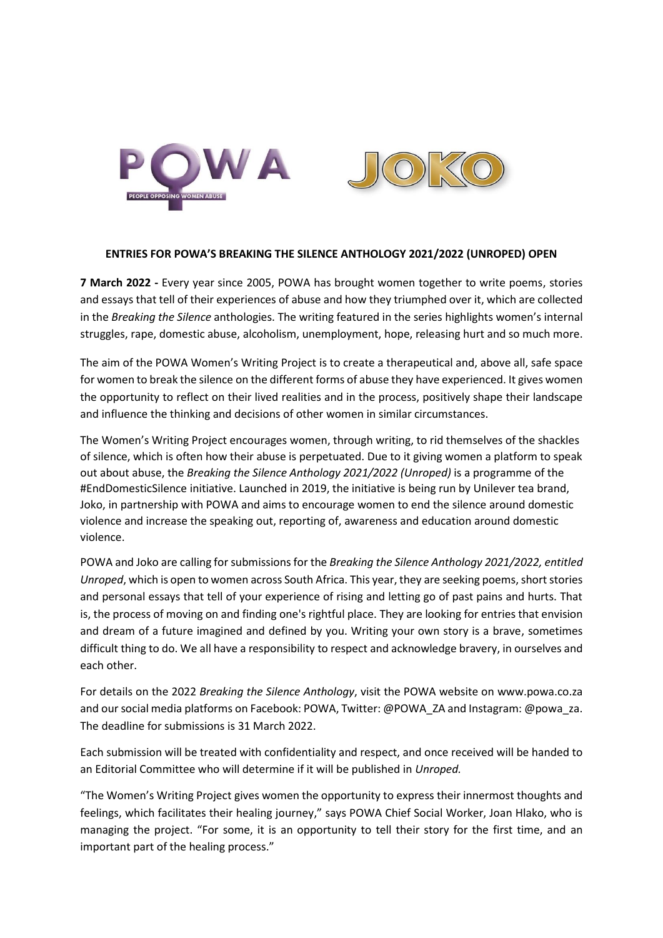



## **ENTRIES FOR POWA'S BREAKING THE SILENCE ANTHOLOGY 2021/2022 (UNROPED) OPEN**

**7 March 2022 -** Every year since 2005, POWA has brought women together to write poems, stories and essays that tell of their experiences of abuse and how they triumphed over it, which are collected in the *Breaking the Silence* anthologies. The writing featured in the series highlights women's internal struggles, rape, domestic abuse, alcoholism, unemployment, hope, releasing hurt and so much more.

The aim of the POWA Women's Writing Project is to create a therapeutical and, above all, safe space for women to break the silence on the different forms of abuse they have experienced. It gives women the opportunity to reflect on their lived realities and in the process, positively shape their landscape and influence the thinking and decisions of other women in similar circumstances.

The Women's Writing Project encourages women, through writing, to rid themselves of the shackles of silence, which is often how their abuse is perpetuated. Due to it giving women a platform to speak out about abuse, the *Breaking the Silence Anthology 2021/2022 (Unroped)* is a programme of the #EndDomesticSilence initiative. Launched in 2019, the initiative is being run by Unilever tea brand, Joko, in partnership with POWA and aims to encourage women to end the silence around domestic violence and increase the speaking out, reporting of, awareness and education around domestic violence.

POWA and Joko are calling for submissions for the *Breaking the Silence Anthology 2021/2022, entitled Unroped*, which is open to women across South Africa. This year, they are seeking poems, short stories and personal essays that tell of your experience of rising and letting go of past pains and hurts. That is, the process of moving on and finding one's rightful place. They are looking for entries that envision and dream of a future imagined and defined by you. Writing your own story is a brave, sometimes difficult thing to do. We all have a responsibility to respect and acknowledge bravery, in ourselves and each other.

For details on the 2022 *Breaking the Silence Anthology*, visit the POWA website on www.powa.co.za and our social media platforms on Facebook: POWA, Twitter: @POWA\_ZA and Instagram: @powa\_za. The deadline for submissions is 31 March 2022.

Each submission will be treated with confidentiality and respect, and once received will be handed to an Editorial Committee who will determine if it will be published in *Unroped.*

"The Women's Writing Project gives women the opportunity to express their innermost thoughts and feelings, which facilitates their healing journey," says POWA Chief Social Worker, Joan Hlako, who is managing the project. "For some, it is an opportunity to tell their story for the first time, and an important part of the healing process."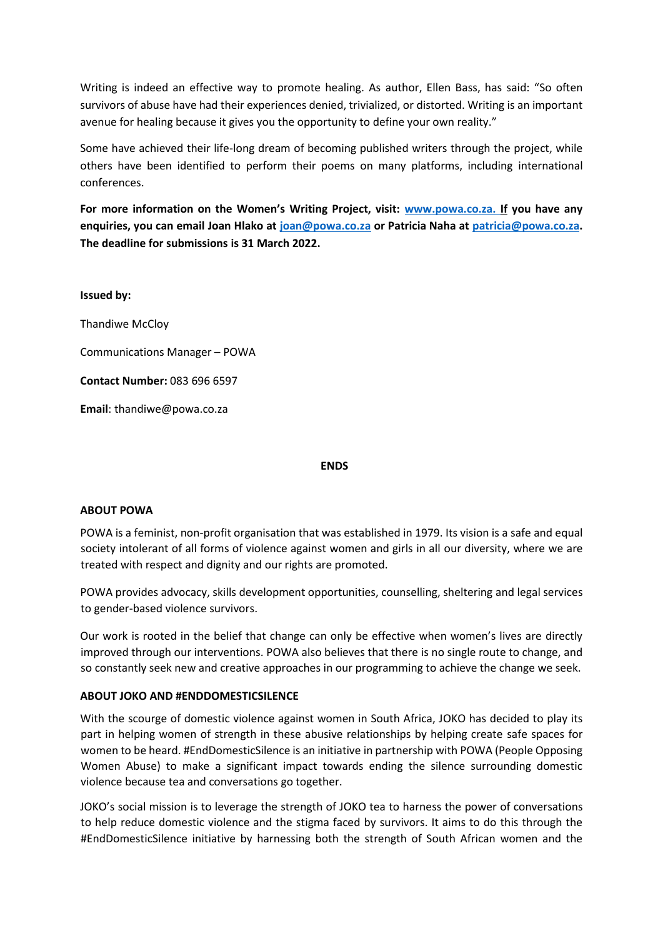Writing is indeed an effective way to promote healing. As author, Ellen Bass, has said: "So often survivors of abuse have had their experiences denied, trivialized, or distorted. Writing is an important avenue for healing because it gives you the opportunity to define your own reality."

Some have achieved their life-long dream of becoming published writers through the project, while others have been identified to perform their poems on many platforms, including international conferences.

**For more information on the Women's Writing Project, visit: www.powa.co.za. If you have any enquiries, you can email Joan Hlako at [joan@powa.co.za](mailto:joan@powa.co.za) or Patricia Naha at [patricia@powa.co.za.](mailto:patricia@powa.co.za) The deadline for submissions is 31 March 2022.** 

**Issued by:** 

Thandiwe McCloy

Communications Manager – POWA

**Contact Number:** 083 696 6597

**Email**[: thandiwe@powa.co.za](mailto:thandiwe@powa.co.za)

## **ENDS**

## **ABOUT POWA**

POWA is a feminist, non-profit organisation that was established in 1979. Its vision is a safe and equal society intolerant of all forms of violence against women and girls in all our diversity, where we are treated with respect and dignity and our rights are promoted.

POWA provides advocacy, skills development opportunities, counselling, sheltering and legal services to gender-based violence survivors.

Our work is rooted in the belief that change can only be effective when women's lives are directly improved through our interventions. POWA also believes that there is no single route to change, and so constantly seek new and creative approaches in our programming to achieve the change we seek.

## **ABOUT JOKO AND #ENDDOMESTICSILENCE**

With the scourge of domestic violence against women in South Africa, JOKO has decided to play its part in helping women of strength in these abusive relationships by helping create safe spaces for women to be heard. #EndDomesticSilence is an initiative in partnership with POWA (People Opposing Women Abuse) to make a significant impact towards ending the silence surrounding domestic violence because tea and conversations go together.

JOKO's social mission is to leverage the strength of JOKO tea to harness the power of conversations to help reduce domestic violence and the stigma faced by survivors. It aims to do this through the #EndDomesticSilence initiative by harnessing both the strength of South African women and the